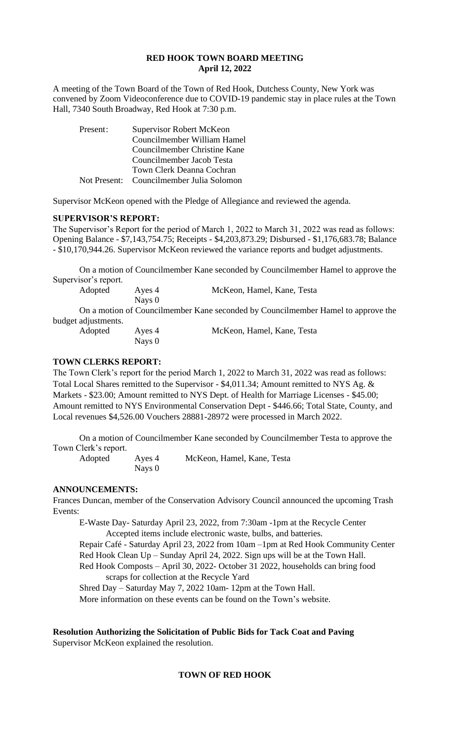#### **RED HOOK TOWN BOARD MEETING April 12, 2022**

A meeting of the Town Board of the Town of Red Hook, Dutchess County, New York was convened by Zoom Videoconference due to COVID-19 pandemic stay in place rules at the Town Hall, 7340 South Broadway, Red Hook at 7:30 p.m.

| Present: | Supervisor Robert McKeon                 |  |  |
|----------|------------------------------------------|--|--|
|          | Councilmember William Hamel              |  |  |
|          | Councilmember Christine Kane             |  |  |
|          | Councilmember Jacob Testa                |  |  |
|          | Town Clerk Deanna Cochran                |  |  |
|          | Not Present: Councilmember Julia Solomon |  |  |

Supervisor McKeon opened with the Pledge of Allegiance and reviewed the agenda.

#### **SUPERVISOR'S REPORT:**

The Supervisor's Report for the period of March 1, 2022 to March 31, 2022 was read as follows: Opening Balance - \$7,143,754.75; Receipts - \$4,203,873.29; Disbursed - \$1,176,683.78; Balance - \$10,170,944.26. Supervisor McKeon reviewed the variance reports and budget adjustments.

On a motion of Councilmember Kane seconded by Councilmember Hamel to approve the Supervisor's report.

| Adopted | Aves 4 | McKeon, Hamel, Kane, Testa                                                     |
|---------|--------|--------------------------------------------------------------------------------|
|         | Navs 0 |                                                                                |
|         |        | On a motion of Councilmember Kane seconded by Councilmember Hamel to approve t |

n a motion of Councilmember Kane seconded by Councilmember Hamel to approve the budget adjustments.

| Adopted | Ayes 4 | McKeon, Hamel, Kane, Testa |
|---------|--------|----------------------------|
|         | Nays 0 |                            |

#### **TOWN CLERKS REPORT:**

The Town Clerk's report for the period March 1, 2022 to March 31, 2022 was read as follows: Total Local Shares remitted to the Supervisor - \$4,011.34; Amount remitted to NYS Ag. & Markets - \$23.00; Amount remitted to NYS Dept. of Health for Marriage Licenses - \$45.00; Amount remitted to NYS Environmental Conservation Dept - \$446.66; Total State, County, and Local revenues \$4,526.00 Vouchers 28881-28972 were processed in March 2022.

On a motion of Councilmember Kane seconded by Councilmember Testa to approve the Town Clerk's report.

Nays 0

Adopted Ayes 4 McKeon, Hamel, Kane, Testa

**ANNOUNCEMENTS:** 

Frances Duncan, member of the Conservation Advisory Council announced the upcoming Trash Events:

E-Waste Day- Saturday April 23, 2022, from 7:30am -1pm at the Recycle Center Accepted items include electronic waste, bulbs, and batteries.

Repair Café - Saturday April 23, 2022 from 10am –1pm at Red Hook Community Center Red Hook Clean Up – Sunday April 24, 2022. Sign ups will be at the Town Hall. Red Hook Composts – April 30, 2022- October 31 2022, households can bring food scraps for collection at the Recycle Yard

Shred Day – Saturday May 7, 2022 10am- 12pm at the Town Hall. More information on these events can be found on the Town's website.

# **Resolution Authorizing the Solicitation of Public Bids for Tack Coat and Paving**

Supervisor McKeon explained the resolution.

## **TOWN OF RED HOOK**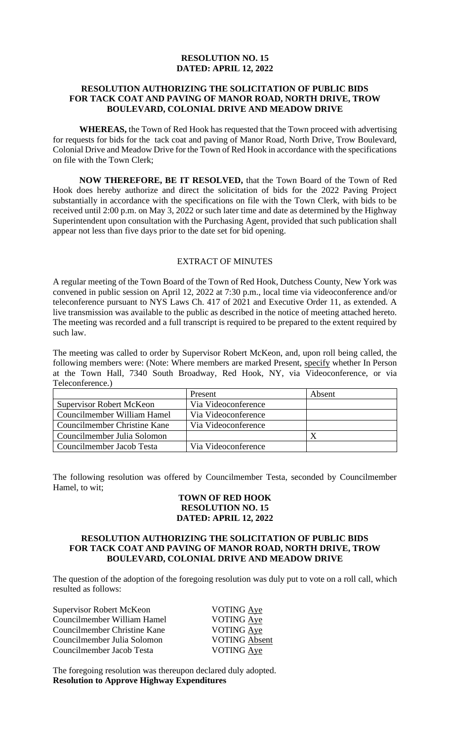### **RESOLUTION NO. 15 DATED: APRIL 12, 2022**

#### **RESOLUTION AUTHORIZING THE SOLICITATION OF PUBLIC BIDS FOR TACK COAT AND PAVING OF MANOR ROAD, NORTH DRIVE, TROW BOULEVARD, COLONIAL DRIVE AND MEADOW DRIVE**

**WHEREAS,** the Town of Red Hook has requested that the Town proceed with advertising for requests for bids for the tack coat and paving of Manor Road, North Drive, Trow Boulevard, Colonial Drive and Meadow Drive for the Town of Red Hook in accordance with the specifications on file with the Town Clerk;

**NOW THEREFORE, BE IT RESOLVED,** that the Town Board of the Town of Red Hook does hereby authorize and direct the solicitation of bids for the 2022 Paving Project substantially in accordance with the specifications on file with the Town Clerk, with bids to be received until 2:00 p.m. on May 3, 2022 or such later time and date as determined by the Highway Superintendent upon consultation with the Purchasing Agent, provided that such publication shall appear not less than five days prior to the date set for bid opening.

## EXTRACT OF MINUTES

A regular meeting of the Town Board of the Town of Red Hook, Dutchess County, New York was convened in public session on April 12, 2022 at 7:30 p.m., local time via videoconference and/or teleconference pursuant to NYS Laws Ch. 417 of 2021 and Executive Order 11, as extended. A live transmission was available to the public as described in the notice of meeting attached hereto. The meeting was recorded and a full transcript is required to be prepared to the extent required by such law.

The meeting was called to order by Supervisor Robert McKeon, and, upon roll being called, the following members were: (Note: Where members are marked Present, specify whether In Person at the Town Hall, 7340 South Broadway, Red Hook, NY, via Videoconference, or via Teleconference.)

|                                 | Present             | Absent |
|---------------------------------|---------------------|--------|
| <b>Supervisor Robert McKeon</b> | Via Videoconference |        |
| Councilmember William Hamel     | Via Videoconference |        |
| Councilmember Christine Kane    | Via Videoconference |        |
| Councilmember Julia Solomon     |                     |        |
| Councilmember Jacob Testa       | Via Videoconference |        |

The following resolution was offered by Councilmember Testa, seconded by Councilmember Hamel, to wit;

### **TOWN OF RED HOOK RESOLUTION NO. 15 DATED: APRIL 12, 2022**

#### **RESOLUTION AUTHORIZING THE SOLICITATION OF PUBLIC BIDS FOR TACK COAT AND PAVING OF MANOR ROAD, NORTH DRIVE, TROW BOULEVARD, COLONIAL DRIVE AND MEADOW DRIVE**

The question of the adoption of the foregoing resolution was duly put to vote on a roll call, which resulted as follows:

| Supervisor Robert McKeon     | VOTING Aye           |
|------------------------------|----------------------|
| Councilmember William Hamel  | <b>VOTING Aye</b>    |
| Councilmember Christine Kane | <b>VOTING Aye</b>    |
| Councilmember Julia Solomon  | <b>VOTING Absent</b> |
| Councilmember Jacob Testa    | VOTING Aye           |
|                              |                      |

The foregoing resolution was thereupon declared duly adopted. **Resolution to Approve Highway Expenditures**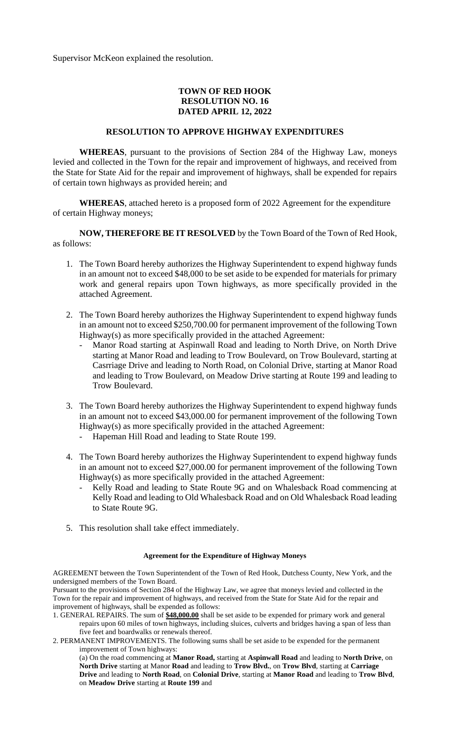Supervisor McKeon explained the resolution.

#### **TOWN OF RED HOOK RESOLUTION NO. 16 DATED APRIL 12, 2022**

#### **RESOLUTION TO APPROVE HIGHWAY EXPENDITURES**

**WHEREAS**, pursuant to the provisions of Section 284 of the Highway Law, moneys levied and collected in the Town for the repair and improvement of highways, and received from the State for State Aid for the repair and improvement of highways, shall be expended for repairs of certain town highways as provided herein; and

**WHEREAS**, attached hereto is a proposed form of 2022 Agreement for the expenditure of certain Highway moneys;

**NOW, THEREFORE BE IT RESOLVED** by the Town Board of the Town of Red Hook, as follows:

- 1. The Town Board hereby authorizes the Highway Superintendent to expend highway funds in an amount not to exceed \$48,000 to be set aside to be expended for materials for primary work and general repairs upon Town highways, as more specifically provided in the attached Agreement.
- 2. The Town Board hereby authorizes the Highway Superintendent to expend highway funds in an amount not to exceed \$250,700.00 for permanent improvement of the following Town Highway(s) as more specifically provided in the attached Agreement:
	- Manor Road starting at Aspinwall Road and leading to North Drive, on North Drive starting at Manor Road and leading to Trow Boulevard, on Trow Boulevard, starting at Casrriage Drive and leading to North Road, on Colonial Drive, starting at Manor Road and leading to Trow Boulevard, on Meadow Drive starting at Route 199 and leading to Trow Boulevard.
- 3. The Town Board hereby authorizes the Highway Superintendent to expend highway funds in an amount not to exceed \$43,000.00 for permanent improvement of the following Town Highway(s) as more specifically provided in the attached Agreement:
	- Hapeman Hill Road and leading to State Route 199.
- 4. The Town Board hereby authorizes the Highway Superintendent to expend highway funds in an amount not to exceed \$27,000.00 for permanent improvement of the following Town Highway(s) as more specifically provided in the attached Agreement:
	- Kelly Road and leading to State Route 9G and on Whalesback Road commencing at Kelly Road and leading to Old Whalesback Road and on Old Whalesback Road leading to State Route 9G.
- 5. This resolution shall take effect immediately.

#### **Agreement for the Expenditure of Highway Moneys**

AGREEMENT between the Town Superintendent of the Town of Red Hook, Dutchess County, New York, and the undersigned members of the Town Board.

Pursuant to the provisions of Section 284 of the Highway Law, we agree that moneys levied and collected in the Town for the repair and improvement of highways, and received from the State for State Aid for the repair and improvement of highways, shall be expended as follows:

- 1. GENERAL REPAIRS. The sum of **\$48,000.00** shall be set aside to be expended for primary work and general repairs upon 60 miles of town highways, including sluices, culverts and bridges having a span of less than five feet and boardwalks or renewals thereof.
- 2. PERMANENT IMPROVEMENTS. The following sums shall be set aside to be expended for the permanent improvement of Town highways:

(a) On the road commencing at **Manor Road,** starting at **Aspinwall Road** and leading to **North Drive**, on **North Drive** starting at Manor **Road** and leading to **Trow Blvd.**, on **Trow Blvd**, starting at **Carriage Drive** and leading to **North Road**, on **Colonial Drive**, starting at **Manor Road** and leading to **Trow Blvd**, on **Meadow Drive** starting at **Route 199** and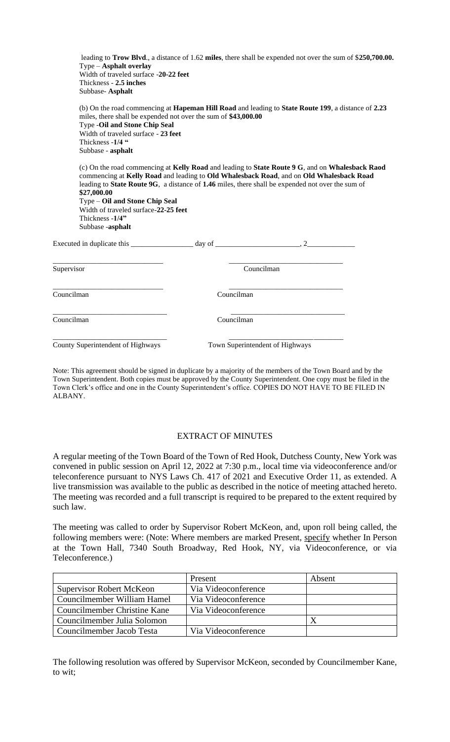| leading to Trow Blvd., a distance of 1.62 miles, there shall be expended not over the sum of \$250,700.00.<br>$Type - Asphalt overlay$<br>Width of traveled surface -20-22 feet<br>Thickness - 2.5 inches<br>Subbase- Asphalt                                                                                                                                                                                                  |            |                                                                           |  |
|--------------------------------------------------------------------------------------------------------------------------------------------------------------------------------------------------------------------------------------------------------------------------------------------------------------------------------------------------------------------------------------------------------------------------------|------------|---------------------------------------------------------------------------|--|
| (b) On the road commencing at Hapeman Hill Road and leading to State Route 199, a distance of 2.23<br>miles, there shall be expended not over the sum of \$43,000.00<br><b>Type -Oil and Stone Chip Seal</b><br>Width of traveled surface - 23 feet<br>Thickness -1/4 "<br>Subbase - asphalt                                                                                                                                   |            |                                                                           |  |
| (c) On the road commencing at Kelly Road and leading to State Route 9 G, and on Whalesback Raod<br>commencing at Kelly Road and leading to Old Whalesback Road, and on Old Whalesback Road<br>leading to State Route 9G, a distance of 1.46 miles, there shall be expended not over the sum of<br>\$27,000.00<br>Type - Oil and Stone Chip Seal<br>Width of traveled surface-22-25 feet<br>Thickness -1/4"<br>Subbase -asphalt |            |                                                                           |  |
|                                                                                                                                                                                                                                                                                                                                                                                                                                |            |                                                                           |  |
| Supervisor                                                                                                                                                                                                                                                                                                                                                                                                                     |            | <u> 1989 - Johann Barbara, martxa al III-lea (h. 1989).</u><br>Councilman |  |
| Councilman                                                                                                                                                                                                                                                                                                                                                                                                                     | Councilman |                                                                           |  |
| Councilman                                                                                                                                                                                                                                                                                                                                                                                                                     | Councilman |                                                                           |  |
| County Superintendent of Highways                                                                                                                                                                                                                                                                                                                                                                                              |            | Town Superintendent of Highways                                           |  |

Note: This agreement should be signed in duplicate by a majority of the members of the Town Board and by the Town Superintendent. Both copies must be approved by the County Superintendent. One copy must be filed in the Town Clerk's office and one in the County Superintendent's office. COPIES DO NOT HAVE TO BE FILED IN ALBANY.

### EXTRACT OF MINUTES

A regular meeting of the Town Board of the Town of Red Hook, Dutchess County, New York was convened in public session on April 12, 2022 at 7:30 p.m., local time via videoconference and/or teleconference pursuant to NYS Laws Ch. 417 of 2021 and Executive Order 11, as extended. A live transmission was available to the public as described in the notice of meeting attached hereto. The meeting was recorded and a full transcript is required to be prepared to the extent required by such law.

The meeting was called to order by Supervisor Robert McKeon, and, upon roll being called, the following members were: (Note: Where members are marked Present, specify whether In Person at the Town Hall, 7340 South Broadway, Red Hook, NY, via Videoconference, or via Teleconference.)

|                                 | Present             | Absent |
|---------------------------------|---------------------|--------|
| <b>Supervisor Robert McKeon</b> | Via Videoconference |        |
| Councilmember William Hamel     | Via Videoconference |        |
| Councilmember Christine Kane    | Via Videoconference |        |
| Councilmember Julia Solomon     |                     |        |
| Councilmember Jacob Testa       | Via Videoconference |        |

The following resolution was offered by Supervisor McKeon, seconded by Councilmember Kane, to wit;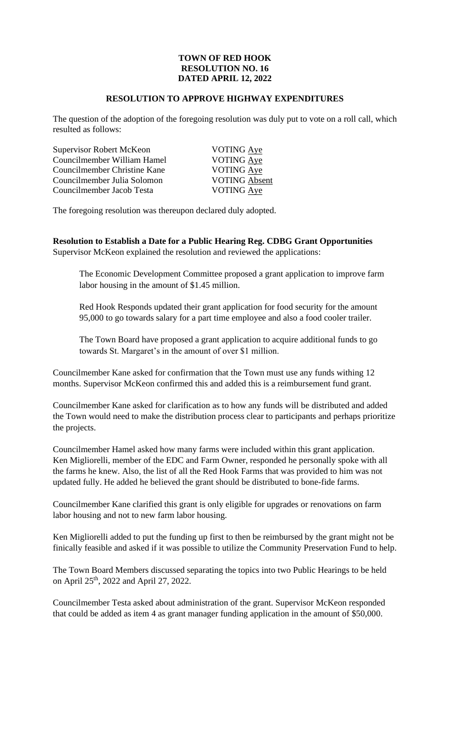### **TOWN OF RED HOOK RESOLUTION NO. 16 DATED APRIL 12, 2022**

#### **RESOLUTION TO APPROVE HIGHWAY EXPENDITURES**

The question of the adoption of the foregoing resolution was duly put to vote on a roll call, which resulted as follows:

Supervisor Robert McKeon VOTING Aye Councilmember William Hamel VOTING Aye Councilmember Christine Kane VOTING Aye Councilmember Julia Solomon VOTING Absent Councilmember Jacob Testa VOTING Aye

The foregoing resolution was thereupon declared duly adopted.

**Resolution to Establish a Date for a Public Hearing Reg. CDBG Grant Opportunities**  Supervisor McKeon explained the resolution and reviewed the applications:

The Economic Development Committee proposed a grant application to improve farm labor housing in the amount of \$1.45 million.

Red Hook Responds updated their grant application for food security for the amount 95,000 to go towards salary for a part time employee and also a food cooler trailer.

The Town Board have proposed a grant application to acquire additional funds to go towards St. Margaret's in the amount of over \$1 million.

Councilmember Kane asked for confirmation that the Town must use any funds withing 12 months. Supervisor McKeon confirmed this and added this is a reimbursement fund grant.

Councilmember Kane asked for clarification as to how any funds will be distributed and added the Town would need to make the distribution process clear to participants and perhaps prioritize the projects.

Councilmember Hamel asked how many farms were included within this grant application. Ken Migliorelli, member of the EDC and Farm Owner, responded he personally spoke with all the farms he knew. Also, the list of all the Red Hook Farms that was provided to him was not updated fully. He added he believed the grant should be distributed to bone-fide farms.

Councilmember Kane clarified this grant is only eligible for upgrades or renovations on farm labor housing and not to new farm labor housing.

Ken Migliorelli added to put the funding up first to then be reimbursed by the grant might not be finically feasible and asked if it was possible to utilize the Community Preservation Fund to help.

The Town Board Members discussed separating the topics into two Public Hearings to be held on April 25th, 2022 and April 27, 2022.

Councilmember Testa asked about administration of the grant. Supervisor McKeon responded that could be added as item 4 as grant manager funding application in the amount of \$50,000.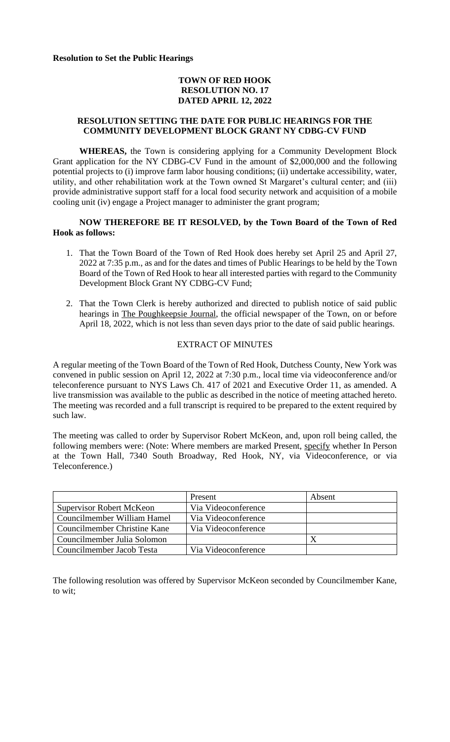**Resolution to Set the Public Hearings**

### **TOWN OF RED HOOK RESOLUTION NO. 17 DATED APRIL 12, 2022**

#### **RESOLUTION SETTING THE DATE FOR PUBLIC HEARINGS FOR THE COMMUNITY DEVELOPMENT BLOCK GRANT NY CDBG-CV FUND**

**WHEREAS,** the Town is considering applying for a Community Development Block Grant application for the NY CDBG-CV Fund in the amount of \$2,000,000 and the following potential projects to (i) improve farm labor housing conditions; (ii) undertake accessibility, water, utility, and other rehabilitation work at the Town owned St Margaret's cultural center; and (iii) provide administrative support staff for a local food security network and acquisition of a mobile cooling unit (iv) engage a Project manager to administer the grant program;

**NOW THEREFORE BE IT RESOLVED, by the Town Board of the Town of Red Hook as follows:**

- 1. That the Town Board of the Town of Red Hook does hereby set April 25 and April 27, 2022 at 7:35 p.m., as and for the dates and times of Public Hearings to be held by the Town Board of the Town of Red Hook to hear all interested parties with regard to the Community Development Block Grant NY CDBG-CV Fund;
- 2. That the Town Clerk is hereby authorized and directed to publish notice of said public hearings in The Poughkeepsie Journal, the official newspaper of the Town, on or before April 18, 2022, which is not less than seven days prior to the date of said public hearings.

#### EXTRACT OF MINUTES

A regular meeting of the Town Board of the Town of Red Hook, Dutchess County, New York was convened in public session on April 12, 2022 at 7:30 p.m., local time via videoconference and/or teleconference pursuant to NYS Laws Ch. 417 of 2021 and Executive Order 11, as amended. A live transmission was available to the public as described in the notice of meeting attached hereto. The meeting was recorded and a full transcript is required to be prepared to the extent required by such law.

The meeting was called to order by Supervisor Robert McKeon, and, upon roll being called, the following members were: (Note: Where members are marked Present, specify whether In Person at the Town Hall, 7340 South Broadway, Red Hook, NY, via Videoconference, or via Teleconference.)

|                                     | Present             | Absent |
|-------------------------------------|---------------------|--------|
| <b>Supervisor Robert McKeon</b>     | Via Videoconference |        |
| Councilmember William Hamel         | Via Videoconference |        |
| <b>Councilmember Christine Kane</b> | Via Videoconference |        |
| Councilmember Julia Solomon         |                     |        |
| Councilmember Jacob Testa           | Via Videoconference |        |

The following resolution was offered by Supervisor McKeon seconded by Councilmember Kane, to wit;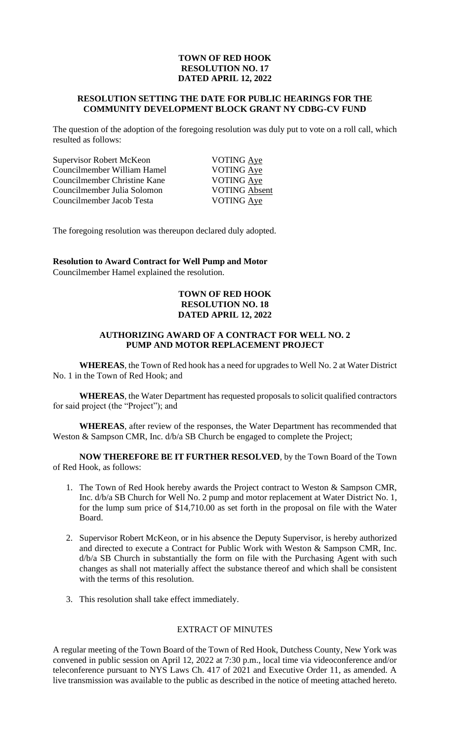### **TOWN OF RED HOOK RESOLUTION NO. 17 DATED APRIL 12, 2022**

#### **RESOLUTION SETTING THE DATE FOR PUBLIC HEARINGS FOR THE COMMUNITY DEVELOPMENT BLOCK GRANT NY CDBG-CV FUND**

The question of the adoption of the foregoing resolution was duly put to vote on a roll call, which resulted as follows:

| Supervisor Robert McKeon     |
|------------------------------|
| Councilmember William Hamel  |
| Councilmember Christine Kane |
| Councilmember Julia Solomon  |
| Councilmember Jacob Testa    |

VOTING Aye VOTING Aye VOTING Aye VOTING Absent VOTING Aye

The foregoing resolution was thereupon declared duly adopted.

**Resolution to Award Contract for Well Pump and Motor**  Councilmember Hamel explained the resolution.

#### **TOWN OF RED HOOK RESOLUTION NO. 18 DATED APRIL 12, 2022**

#### **AUTHORIZING AWARD OF A CONTRACT FOR WELL NO. 2 PUMP AND MOTOR REPLACEMENT PROJECT**

**WHEREAS**, the Town of Red hook has a need for upgrades to Well No. 2 at Water District No. 1 in the Town of Red Hook; and

**WHEREAS**, the Water Department has requested proposals to solicit qualified contractors for said project (the "Project"); and

**WHEREAS**, after review of the responses, the Water Department has recommended that Weston & Sampson CMR, Inc.  $d/b/a$  SB Church be engaged to complete the Project;

**NOW THEREFORE BE IT FURTHER RESOLVED**, by the Town Board of the Town of Red Hook, as follows:

- 1. The Town of Red Hook hereby awards the Project contract to Weston & Sampson CMR, Inc. d/b/a SB Church for Well No. 2 pump and motor replacement at Water District No. 1, for the lump sum price of \$14,710.00 as set forth in the proposal on file with the Water Board.
- 2. Supervisor Robert McKeon, or in his absence the Deputy Supervisor, is hereby authorized and directed to execute a Contract for Public Work with Weston & Sampson CMR, Inc. d/b/a SB Church in substantially the form on file with the Purchasing Agent with such changes as shall not materially affect the substance thereof and which shall be consistent with the terms of this resolution.
- 3. This resolution shall take effect immediately.

#### EXTRACT OF MINUTES

A regular meeting of the Town Board of the Town of Red Hook, Dutchess County, New York was convened in public session on April 12, 2022 at 7:30 p.m., local time via videoconference and/or teleconference pursuant to NYS Laws Ch. 417 of 2021 and Executive Order 11, as amended. A live transmission was available to the public as described in the notice of meeting attached hereto.